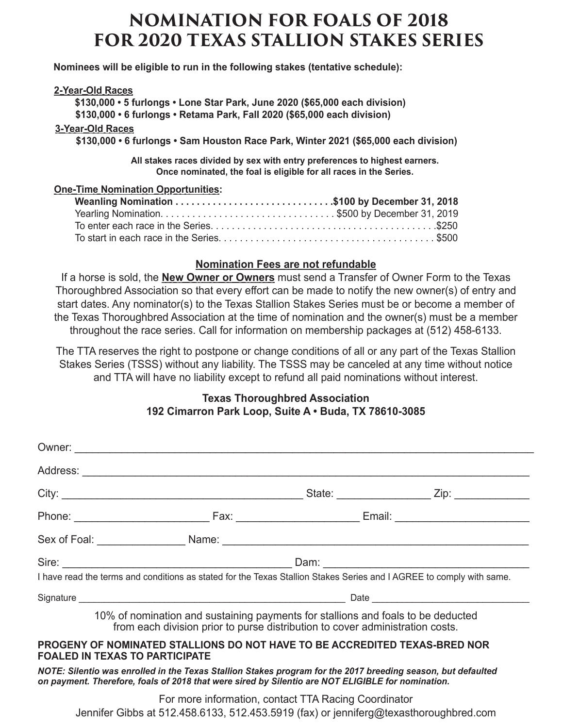## **NOMINATION FOR FOALS OF 2018 FOR 2020 TEXAS STALLION STAKES SERIES**

 **Nominees will be eligible to run in the following stakes (tentative schedule):** 

## **2-Year-Old Races**

 **\$130,000 • 5 furlongs • Lone Star Park, June 2020 (\$65,000 each division)**

**STALLION NAME: \_\_\_\_\_\_\_\_\_\_\_\_\_\_\_\_\_\_\_\_\_\_\_\_\_\_\_\_\_\_\_\_\_\_\_\_\_\_\_\_\_\_\_\_\_ YEAR OF BIRTH: \_\_\_\_\_\_\_\_\_\_\_\_\_ \$130,000 • 6 furlongs • Retama Park, Fall 2020 (\$65,000 each division)**

## **3-Year-Old Races**

**SIRE: \_\_\_\_\_\_\_\_\_\_\_\_\_\_\_\_\_\_\_\_\_ DAM: \_\_\_\_\_\_\_\_\_\_\_\_\_\_\_\_\_\_\_\_\_ 2015 ADVERTISED STUD FEE: \_\_\_\_\_\_\_\_\_\_ \$130,000 • 6 furlongs • Sam Houston Race Park, Winter 2021 (\$65,000 each division)**

All stakes races divided by sex with entry preferences to highest earners. Once nominated, the foal is eligible for all races in the Series.

#### **Late Nomination \$1,250 (includes \$500 penalty) after December 31, 2014 One-Time Nomination Opportunities:**

## **Nomination Fees are not refundable**

If a horse is sold, the **New Owner or Owners** must send a Transfer of Owner Form to the Texas Thoroughbred Association so that every effort can be made to notify the new owner(s) of entry and start dates. Any nominator(s) to the Texas Stallion Stakes Series must be or become a member of the Texas Thoroughbred Association at the time of nomination and the owner(s) must be a member throughout the race series. Call for information on membership packages at (512) 458-6133.

The TTA reserves the right to postpone or change conditions of all or any part of the Texas Stallion Stakes Series (TSSS) without any liability. The TSSS may be canceled at any time without notice and TTA will have no liability except to refund all paid nominations without interest.

## **Texas Thoroughbred Association 192 Cimarron Park Loop, Suite A • Buda, TX 78610-3085**

| I have read the terms and conditions as stated for the Texas Stallion Stakes Series and I AGREE to comply with same.                                                                                              |  |  |  |  |
|-------------------------------------------------------------------------------------------------------------------------------------------------------------------------------------------------------------------|--|--|--|--|
|                                                                                                                                                                                                                   |  |  |  |  |
| 10% of nomination and sustaining payments for stallions and foals to be deducted<br>from each division prior to purse distribution to cover administration costs.                                                 |  |  |  |  |
| PROGENY OF NOMINATED STALLIONS DO NOT HAVE TO BE ACCREDITED TEXAS-BRED NOR<br><b>FOALED IN TEXAS TO PARTICIPATE</b>                                                                                               |  |  |  |  |
| NOTE: Silentio was enrolled in the Texas Stallion Stakes program for the 2017 breeding season, but defaulted<br>on payment. Therefore, foals of 2018 that were sired by Silentio are NOT ELIGIBLE for nomination. |  |  |  |  |

For more information, contact TTA Racing Coordinator Jennifer Gibbs at 512.458.6133, 512.453.5919 (fax) or jenniferg@texasthoroughbred.com